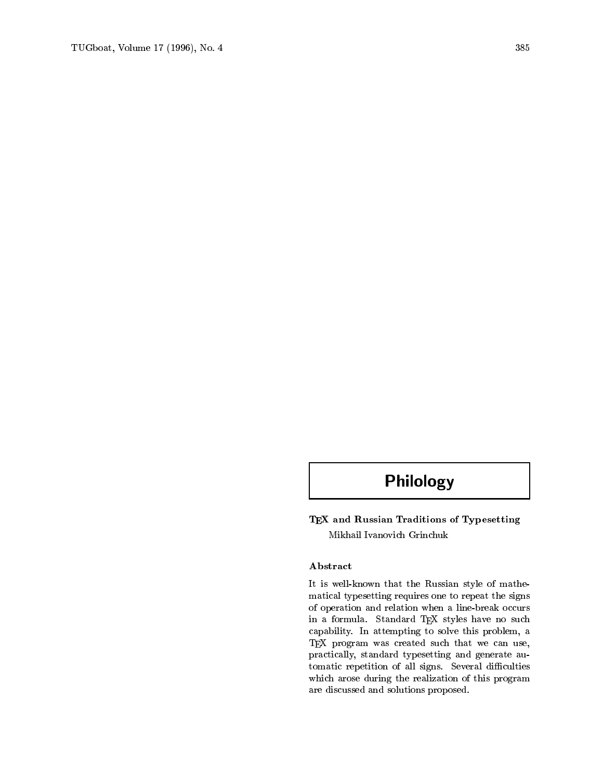# Philology

TEX and Russian Traditions of Typesetting Mikhail Ivanovich Grinchuk

## Abstract

It is well-known that the Russian style of mathematical typesetting requires one to repeat the signs of operation and relation when a line-break occurs in a formula. Standard TEX styles have no such capability. In attempting to solve this problem, a TEX program was created such that we can use, practically, standard typesetting and generate automatic repetition of all signs. Several difficulties which arose during the realization of this program are discussed and solutions proposed.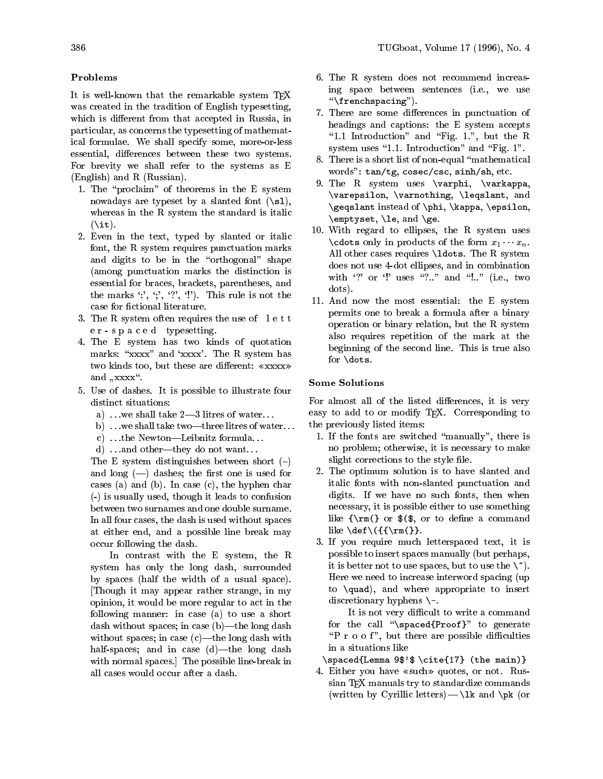### Problems

It is well-known that the remarkable system  $T_F X$ was created in the tradition of English typesetting, which is different from that accepted in Russia, in particular, as concerns the typesetting of mathematical formulae. We shall specify some, more-or-less essential, differences between these two systems. For brevity we shall refer to the systems as E (English) and R (Russian).

- 1. The "proclaim" of theorems in the E system nowadays are typeset by a slanted font  $(\s1),$ whereas in the R system the standard is italic  $(\iota)$ .
- 2. Even in the text, typed by slanted or italic font, the R system requires punctuation marks and digits to be in the "orthogonal" shape (among punctuation marks the distinction is essential for braces, brackets, parentheses, and the marks  $'$ :', ';', '?', '!'). This rule is not the case for fictional literature.
- 3. The R system often requires the use of lett er-spaced typesetting.
- 4. The E system has two kinds of quotation marks: "xxxx" and 'xxxx'. The R system has two kinds too, but these are different:  $\langle xxxxx \rangle$ and  $, \mathbf{x} \mathbf{x} \mathbf{x}^n$ .
- 5. Use of dashes. It is possible to illustrate four distinct situations:
	- a) ...we shall take  $2-3$  litres of water...
	- b) ... we shall take two---three litres of water...
	- c) ...the Newton-Leibnitz formula...
	- d) ...and other—they do not want...

The E system distinguishes between short  $(-)$ and long  $(-)$  dashes; the first one is used for cases (a) and (b). In case (c), the hyphen char (-) is usually used, though it leads to confusion between two surnames and one double surname. In all four cases, the dash is used without spaces at either end, and a possible line break may occur following the dash.

In contrast with the E system, the R system has only the long dash, surrounded by spaces (half the width of a usual space). [Though it may appear rather strange, in my opinion, it would be more regular to act in the following manner: in case (a) to use a short dash without spaces; in case (b)-the long dash without spaces; in case  $(c)$ —the long dash with half-spaces; and in case  $(d)$ —the long dash with normal spaces.] The possible line-break in all cases would occur after a dash.

- 6. The R system does not recommend increasing space between sentences (i.e., we use  $"\frac{\text{``rench spacing''}}{\text{``rench spacing''}}$
- 7. There are some differences in punctuation of headings and captions: the E system accepts "1.1 Introduction" and "Fig. 1.", but the R system uses  $"1.1.$  Introduction" and  $"Fig. 1".$
- 8. There is a short list of non-equal "mathematical words": tan/tg, cosec/csc, sinh/sh, etc.
- 9. The R system uses \varphi, \varkappa, \varepsilon, \varnothing, \leqslant, and  $\mathcal{L}_{\mathbf{C}}$  is the instead of  $\mathcal{L}_{\mathbf{C}}$  instead of  $\mathcal{L}_{\mathbf{C}}$  is the properties of  $\mathcal{L}_{\mathbf{C}}$ \emptyset, \le, and \ge.
- 10. With regard to ellipses, the R system uses \cdots only in products of the form  $x_1 \cdots x_n$ . All other cases requires \ldots. The R system does not use 4-dot ellipses, and in combination with '?' or '!' uses "?.." and "!.." (i.e., two dots).
- 11. And now the most essential: the E system permits one to break a formula after a binary operation or binary relation, but the R system also requires repetition of the mark at the beginning of the second line. This is true also for \dots.

# Some Solutions

For almost all of the listed differences, it is very easy to add to or modify T<sub>E</sub>X. Corresponding to the previously listed items:

- 1. If the fonts are switched \manually", there is no problem; otherwise, it is necessary to make slight corrections to the style file.
- 2. The optimum solution is to have slanted and italic fonts with non-slanted punctuation and digits. If we have no such fonts, then when necessary, it is possible either to use something like  ${\rm C}_{\rm}$  or  $(\$ , or to define a command like  $\det\{( {\rm rm}(\} )$ .
- 3. If you require much letterspaced text, it is possible to insert spaces manually (but perhaps, it is better not to use spaces, but to use the  $\langle \,\cdot\,\rangle$ . Here we need to increase interword spacing (up to \quad), and where appropriate to insert discretionary hyphens \-.

It is not very difficult to write a command for the call " $\spadesuit$ spaced{Proof}" to generate " $P$  r o o f", but there are possible difficulties in a situations like

\spaced{Lemma 9\$'\$ \cite{17} (the main)}

4. Either you have «such» quotes, or not. Russian TFX manuals try to standardize commands (written by Cyrillic letters) —  $\lambda$ k and  $\pi$  (or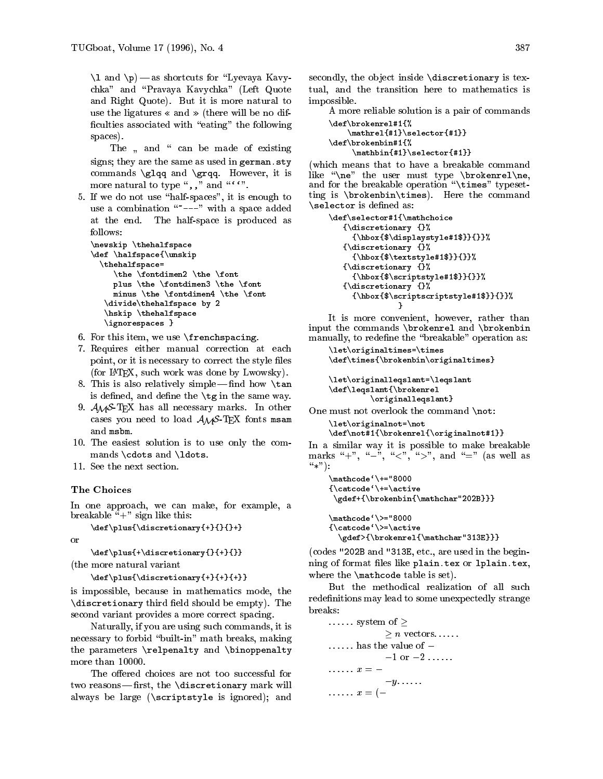$\sum_{i=1}^{\infty}$  and  $\sum_{i=1}^{\infty}$  as shortcuts for  $\sum_{i=1}^{\infty}$  and  $\sum_{i=1}^{\infty}$ chka" and \Pravaya Kavychka" (Left Quote and Right Quote). But it is more natural to use the ligatures  $\ll$  and  $\gg$  (there will be no difficulties associated with "eating" the following spaces).

The and  $\alpha$  be made of existing of existing of existing  $\alpha$ signs; they are the same as used in german.sty  $(\mathbf{w}_i)$ commands  $\gtrsim$  and  $\gtrsim$  However, it is more natural to type ",," and "".".

5. If we do not use "half-spaces", it is enough to use a combination  $"---"$  with a space added at the end. The half-space is produced as

```
\cdot . The matrix \cdot is the space of the space of the space of the space of the space of the space of the space of the space of the space of the space of the space of the space of the space of the space of the space of 
\lambda . The space of \lambda and \lambda and \lambda\thehalfspace=\ddot \Omega . The second measurement \ddot \Omega , where \ddot \Omega is the \ddot \Omegap = 0 , the \frac{1}{2} - the second dimensional \frac{1}{2} and \frac{1}{2}minus \ldots and \ldots and \ldots and \ldots , and \ldots\ddotsc . \ddotsc \ddotsc \ddotsc because \ddotsc \ddotsc \ddotsc\hskip \thehalfspace
       \lambda = \frac{1}{2} , we have seen the set of \lambda
```
- 6. For this item, we use \frenchspacing.
- 7. Requires either manual correction at each point, or it is necessary to correct the style files (for LATEX, such work was done by Lwowsky).
- 8. This is also relatively simple find how  $\tan$ is defined, and define the  $\tg$  in the same way.
- 9.  $A_{\mathcal{M}}S$ -T<sub>E</sub>X has all necessary marks. In other cases you need to load  $A_{\mathcal{M}}S$ -TEX fonts msam and msbm.
- 10. The easiest solution is to use only the commands \cdots and \ldots.
- 11. See the next section.

#### The Choices

In one approach, we can make, for example, a breakable " $+$ " sign like this:

```
\def\plus{\discretionary{+}{}{}+}
```
or

\def\plus{+\discretionary{}{+}{}}(the more natural variant

\def\plus{\discretionary{+}{+}{+}}

is impossible, because in mathematics mode, the  $\mathcal{L}$  are the shown  $\mathcal{L}$  third show shown be empty). The extra shown is the extra shown in the state of  $\mathcal{L}$ second variant provides a more correct spacing.

Naturally, if you are using such commands, it is necessary to forbid "built-in" math breaks, making the parameters \relpenalty and \binoppenalty more than 10000.

The offered choices are not too successful for two reasons—first, the  $\dist$ -discretionary mark will always be large (\scriptstyle is ignored); and

secondly, the object inside  $\distance$  discretionary is textual, and the transition here to mathematics is impossible. impossible. The contract of the contract of the contract of the contract of the contract of the contract of the

A more reliable solution is a pair of commands \def\brokenrel#1{%

```
\mathrel{#1}\selector{#1}}\def\brokenbin#1{%\mathbin{#1}\selector{#1}}
```
(which means that to have a breakable command like the user must the user type the user the user  $\sim$  $\ldots$  for the breakable operation  $\ldots$  times  $\ldots$  percentting is \brokenbin\times). Here the command  $\sim$  is defined as is defined as  $\sim$ 

```
\def\selector#1{\mathchoice
              {\mathcal{L}} \mathcal{L} \mathcal{L} \mathcal{L} \mathcal{L} \mathcal{L} \mathcal{L} \mathcal{L} \mathcal{L} \mathcal{L} \mathcal{L} \mathcal{L} \mathcal{L} \mathcal{L} \mathcal{L} \mathcal{L} \mathcal{L} \mathcal{L} \mathcal{L} \mathcal{L} \mathcal{L} \mathcal{L} \mathcal{L} \mathcal{L} \mathcal{{\hbox{$\displaystyle#1$}}{}}%{\bf x} , where {\bf x} is a set of the set of the set of the set of the set of the set of the set of the set of the set of the set of the set of the set of the set of the set of the set of the set of the set of the set of 
                      {\hbox{\sf \char'145}~}{\bf x} , where {\bf x} is a set of the set of the set of the set of the set of the set of the set of the set of the set of the set of the set of the set of the set of the set of the set of the set of the set of the set of 
                       {\hbox{\sf \{kscriptstyle}+1$}}{\hbox{\sf \{l}}\}{\bf x} , where {\bf x} is a set of the set of the set of the set of the set of the set of the set of the set of the set of the set of the set of the set of the set of the set of the set of the set of the set of the set of 
                      {\hbox{\sf \sc{s}}\operatorname{scriptstyle{stylef1}}}\}
```
It is more convenient, however, rather than input the commands \brokenrel and \brokenbin manually, to redefine the "breakable" operation as:

```
\let\originaltimes=\times\def\times{\brokenbin\originaltimes}
```

```
\let\originalleqslant=\leqslant\def\leqslant{\brokenrel\originalleqslant}
```
One must not overlook the command \not:

```
\let\originalnot=\not\def\not#1{\brokenrel{\originalnot#1}}
```

```
In a similar way it is possible to make breakable
marks "+", "-", "<", ">", and "=" (as well as
\lq^{\prime\prime} *"):
```

```
\mathcode`\+="8000{\hat{\zeta}}\gdef+{\brokenbin{\mathchar"202B}}}
```
\mathcode`\>="8000 $\{\catcode'\>=\active$  ${\color{red}\ldots}\,$ \gdef>{\brokenrel{\mathchar"313E}}}

(codes "202B and "313E, etc., are used in the beginning of format files like plain.tex or 1plain.tex, where the \mathcode table is set).

But the methodical realization of all such redefinitions may lead to some unexpectedly strange breaks:

```
\ldots \ldots system of \geq> n vectors......
\ldots.... has the value of --1 or -2 .....
\ldots x = --y.\ldots..
\ldots \ldots x = (-
```